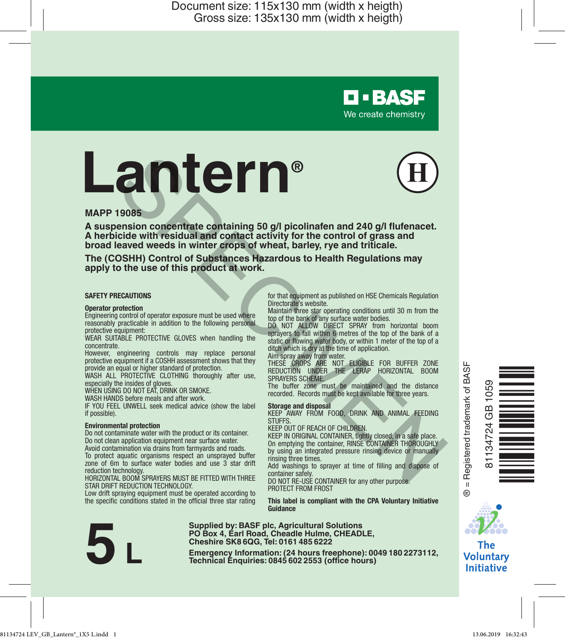# **Lantern® EXERCT AND SECTION CONTROLL CONTROLL CONTROLL CONTROLL CONTROLL CONTROLL CONTROLL CONTROLL CONTROLL CONTROLL CONTROLL CONTROLL CONTROLL CONTROLL CONTROLL CONTROLL CONTROLL CONTROLL CONTROLL CONTROLL CONTROLL CONTROLL CONT**



**D-BASF** We create chemistry

### **MAPP 19085**

**A suspension concentrate containing 50 g/l picolinafen and 240 g/l flufenacet. A herbicide with residual and contact activity for the control of grass and broad leaved weeds in winter crops of wheat, barley, rye and triticale.**

**The (COSHH) Control of Substances Hazardous to Health Regulations may apply to the use of this product at work.**

### **SAFETY PRECAUTIONS**

**Operator protection** Engineering control of operator exposure must be used where reasonably practicable in addition to the following personal protective equipment:

WEAR SUITABLE PROTECTIVE GLOVES when handling the concentrate.

However, engineering controls may replace personal protective equipment if a COSHH assessment shows that they provide an equal or higher standard of protection.

WASH ALL PROTECTIVE CLOTHING thoroughly after use. especially the insides of gloves.

WHEN USING DO NOT EAT, DRINK OR SMOKE

WASH HANDS before meals and after work.

IF YOU FEEL UNWELL seek medical advice (show the label if possible).

### **Environmental protection**

Do not contaminate water with the product or its container. Do not clean application equipment near surface water. Avoid contamination via drains from farmyards and roads.

To protect aquatic organisms respect an unsprayed buffer zone of 6m to surface water bodies and use 3 star drift

reduction technology. HORIZONTAL BOOM SPRAYERS MUST BE FITTED WITH THREE STAR DRIFT REDUCTION TECHNOLOGY.

Low drift spraying equipment must be operated according to the specific conditions stated in the official three star rating for that equipment as published on HSE Chemicals Regulation Directorate's website.

Maintain three star operating conditions until 30 m from the top of the bank of any surface water bodies.

DO NOT ALLOW DIRECT SPRAY from horizontal boom sprayers to fall within 6 metres of the top of the bank of a static or flowing water body, or within 1 meter of the top of a ditch which is dry at the time of application.

Aim spray away from water.

THESE CROPS ARE NOT ELIGIBLE FOR BUFFER ZONE REDUCTION UNDER THE LERAP HORIZONTAL BOOM SPRAYERS SCHEME

The buffer zone must be maintained and the distance recorded. Records must be kept available for three years.

**Storage and disposal** KEEP AWAY FROM FOOD, DRINK AND ANIMAL FEEDING **STUFFS** 

### KEEP OUT OF REACH OF CHILDREN.

KEEP IN ORIGINAL CONTAINER, tightly closed, in a safe place. On emptying the container, RINSE CONTAINER THOROUGHLY by using an integrated pressure rinsing device or manually rinsing three times.

Add washings to sprayer at time of filling and dispose of container safely.

DO NOT RE-USE CONTAINER for any other purpose. PROTECT FROM FROST

**This label is compliant with the CPA Voluntary Initiative Guidance**



**Supplied by: BASF plc, Agricultural Solutions PO Box 4, Earl Road, Cheadle Hulme, CHEADLE, Cheshire SK8 6QG, Tel: 0161 485 6222**

**Emergency Information: (24 hours freephone): 0049 <sup>180</sup> 2273112, 5 L Technical Enquiries: <sup>0845</sup> <sup>602</sup> <sup>2553</sup> (office hours)**

= Registered trademark of BASF ® = Registered trademark of BASF

 $\ddot{\mathbf{e}}$ 

81134724 GB 1059

 $10.55$ GB 34724 Ö<br>ENERGI



The **Voluntary Initiative**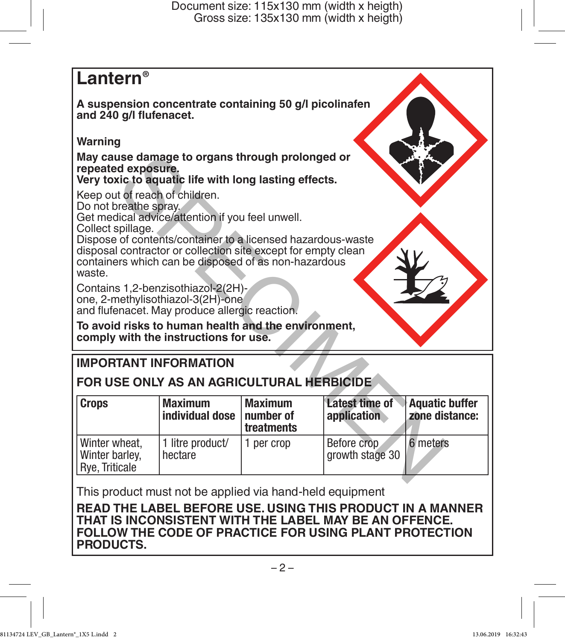# **Lantern®**

**A suspension concentrate containing 50 g/l picolinafen and 240 g/l flufenacet.** 

### **Warning**

# **IMPORTANT INFORMATION**

## **FOR USE ONLY AS AN AGRICULTURAL HERBICIDE**

| May cause damage to organs through prolonged or<br>repeated exposure.<br>Very toxic to aquatic life with long lasting effects.                                                                                                                                                                                                     |                                   |                                           |                                |                                         |  |
|------------------------------------------------------------------------------------------------------------------------------------------------------------------------------------------------------------------------------------------------------------------------------------------------------------------------------------|-----------------------------------|-------------------------------------------|--------------------------------|-----------------------------------------|--|
| Keep out of reach of children.<br>Do not breathe spray.<br>Get medical advice/attention if you feel unwell.<br>Collect spillage.<br>Dispose of contents/container to a licensed hazardous-waste<br>disposal contractor or collection site except for empty clean<br>containers which can be disposed of as non-hazardous<br>waste. |                                   |                                           |                                |                                         |  |
| Contains 1,2-benzisothiazol-2(2H)-<br>one, 2-methylisothiazol-3(2H)-one<br>and flufenacet. May produce allergic reaction.<br>To avoid risks to human health and the environment,<br>comply with the instructions for use.                                                                                                          |                                   |                                           |                                |                                         |  |
| <b>IMPORTANT INFORMATION</b>                                                                                                                                                                                                                                                                                                       |                                   |                                           |                                |                                         |  |
| FOR USE ONLY AS AN AGRICULTURAL HERBICIDE                                                                                                                                                                                                                                                                                          |                                   |                                           |                                |                                         |  |
| <b>Crops</b>                                                                                                                                                                                                                                                                                                                       | <b>Maximum</b><br>individual dose | <b>Maximum</b><br>number of<br>treatments | Latest time of<br>application  | <b>Aquatic buffer</b><br>zone distance: |  |
| Winter wheat,<br>Winter barley,<br>Rye, Triticale                                                                                                                                                                                                                                                                                  | 1 litre product/<br>hectare       | 1 per crop                                | Before crop<br>growth stage 30 | 6 meters                                |  |
|                                                                                                                                                                                                                                                                                                                                    |                                   |                                           |                                |                                         |  |

This product must not be applied via hand-held equipment

**READ THE LABEL BEFORE USE. USING THIS PRODUCT IN A MANNER THAT IS INCONSISTENT WITH THE LABEL MAY BE AN OFFENCE. FOLLOW THE CODE OF PRACTICE FOR USING PLANT PROTECTION PRODUCTS.**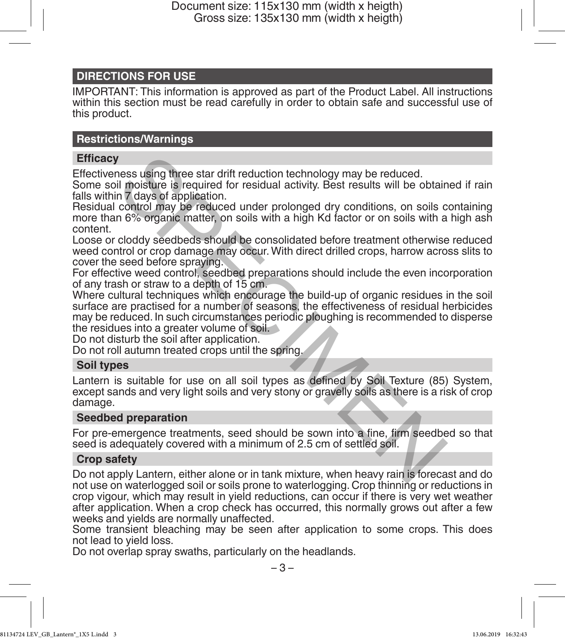### **DIRECTIONS FOR USE**

IMPORTANT: This information is approved as part of the Product Label. All instructions within this section must be read carefully in order to obtain safe and successful use of this product.

### **Restrictions/Warnings**

### **Efficacy**

Effectiveness using three star drift reduction technology may be reduced.

Some soil moisture is required for residual activity. Best results will be obtained if rain falls within 7 days of application.

Residual control may be reduced under prolonged dry conditions, on soils containing more than 6% organic matter, on soils with a high Kd factor or on soils with a high ash content.

Loose or cloddy seedbeds should be consolidated before treatment otherwise reduced weed control or crop damage may occur. With direct drilled crops, harrow across slits to cover the seed before spraying.

For effective weed control, seedbed preparations should include the even incorporation of any trash or straw to a depth of 15 cm.

Where cultural techniques which encourage the build-up of organic residues in the soil surface are practised for a number of seasons, the effectiveness of residual herbicides may be reduced. In such circumstances periodic ploughing is recommended to disperse the residues into a greater volume of soil. These using three star drift reduction technology may be reduced.<br>
In moisture is required for residual activity. Best results will be obtain<br>
in 7 days of application.<br>
control may be reduced under prolonged dry condition

Do not disturb the soil after application.

Do not roll autumn treated crops until the spring.

### **Soil types**

Lantern is suitable for use on all soil types as defined by Soil Texture (85) System, except sands and very light soils and very stony or gravelly soils as there is a risk of crop damage.

### **Seedbed preparation**

For pre-emergence treatments, seed should be sown into a fine, firm seedbed so that seed is adequately covered with a minimum of 2.5 cm of settled soil.

### **Crop safety**

Do not apply Lantern, either alone or in tank mixture, when heavy rain is forecast and do not use on waterlogged soil or soils prone to waterlogging. Crop thinning or reductions in crop vigour, which may result in yield reductions, can occur if there is very wet weather after application. When a crop check has occurred, this normally grows out after a few weeks and yields are normally unaffected.

Some transient bleaching may be seen after application to some crops. This does not lead to yield loss.

Do not overlap spray swaths, particularly on the headlands.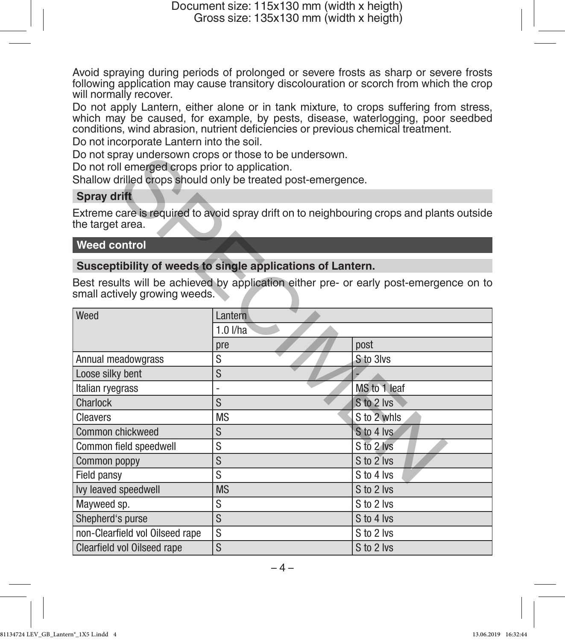Avoid spraying during periods of prolonged or severe frosts as sharp or severe frosts following application may cause transitory discolouration or scorch from which the crop will normally recover.

Do not apply Lantern, either alone or in tank mixture, to crops suffering from stress, which may be caused, for example, by pests, disease, waterlogging, poor seedbed conditions, wind abrasion, nutrient deficiencies or previous chemical treatment. Do not incorporate Lantern into the soil.

Do not spray undersown crops or those to be undersown.

### **Spray drift**

### **Weed control**

### **Susceptibility of weeds to single applications of Lantern.**

| Do not roll emerged crops prior to application. | Do not spray undersown crops or those to be undersown.<br>Shallow drilled crops should only be treated post-emergence. |                                                                                           |  |
|-------------------------------------------------|------------------------------------------------------------------------------------------------------------------------|-------------------------------------------------------------------------------------------|--|
| <b>Spray drift</b>                              |                                                                                                                        |                                                                                           |  |
| the target area.                                |                                                                                                                        | Extreme care is required to avoid spray drift on to neighbouring crops and plants outside |  |
| <b>Weed control</b>                             |                                                                                                                        |                                                                                           |  |
|                                                 | Susceptibility of weeds to single applications of Lantern.                                                             |                                                                                           |  |
| small actively growing weeds.                   |                                                                                                                        | Best results will be achieved by application either pre- or early post-emergence on to    |  |
| Weed                                            | Lantern                                                                                                                |                                                                                           |  |
|                                                 | $1.0$ $I/ha$                                                                                                           |                                                                                           |  |
|                                                 | pre                                                                                                                    | post                                                                                      |  |
| Annual meadowgrass                              | S                                                                                                                      | S to 3lvs                                                                                 |  |
| Loose silky bent                                | S                                                                                                                      |                                                                                           |  |
| Italian ryegrass                                |                                                                                                                        | MS to 1 leaf                                                                              |  |
| Charlock                                        | S                                                                                                                      | S to 2 lvs                                                                                |  |
| Cleavers                                        | <b>MS</b>                                                                                                              | S to 2 whls                                                                               |  |
| Common chickweed                                | S                                                                                                                      | S to 4 lvs.                                                                               |  |
| Common field speedwell                          | S                                                                                                                      | S to 2 lvs                                                                                |  |
| Common poppy                                    | S                                                                                                                      | S to 2 lvs                                                                                |  |
| Field pansy                                     | S                                                                                                                      | S to 4 lvs                                                                                |  |
| Ivy leaved speedwell                            | <b>MS</b>                                                                                                              | S to 2 lvs                                                                                |  |
| Mayweed sp.                                     | S                                                                                                                      | S to 2 lvs                                                                                |  |
| Shepherd's purse                                | S                                                                                                                      | S to 4 lvs                                                                                |  |
| non-Clearfield vol Oilseed rape                 | S                                                                                                                      | S to 2 lvs                                                                                |  |
| <b>Clearfield vol Oilseed rape</b>              | S                                                                                                                      | S to 2 lvs                                                                                |  |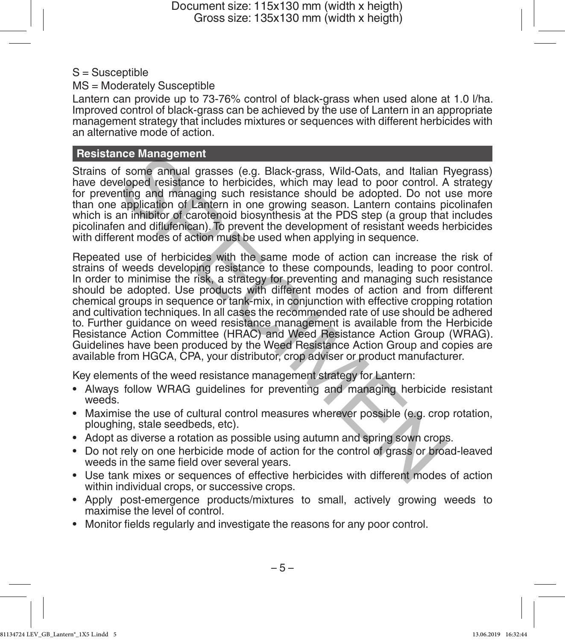### $S =$ Susceptible

MS = Moderately Susceptible

Lantern can provide up to 73-76% control of black-grass when used alone at 1.0 l/ha. Improved control of black-grass can be achieved by the use of Lantern in an appropriate management strategy that includes mixtures or sequences with different herbicides with an alternative mode of action.

### **Resistance Management**

Strains of some annual grasses (e.g. Black-grass, Wild-Oats, and Italian Ryegrass) have developed resistance to herbicides, which may lead to poor control. A strategy for preventing and managing such resistance should be adopted. Do not use more than one application of Lantern in one growing season. Lantern contains picolinafen which is an inhibitor of carotenoid biosynthesis at the PDS step (a group that includes picolinafen and diflufenican). To prevent the development of resistant weeds herbicides with different modes of action must be used when applying in sequence.

Repeated use of herbicides with the same mode of action can increase the risk of strains of weeds developing resistance to these compounds, leading to poor control. In order to minimise the risk, a strategy for preventing and managing such resistance should be adopted. Use products with different modes of action and from different chemical groups in sequence or tank-mix, in conjunction with effective cropping rotation and cultivation techniques. In all cases the recommended rate of use should be adhered to. Further guidance on weed resistance management is available from the Herbicide Resistance Action Committee (HRAC) and Weed Resistance Action Group (WRAG). Guidelines have been produced by the Weed Resistance Action Group and copies are available from HGCA, CPA, your distributor, crop adviser or product manufacturer. nce Management<br>
is some amoual grasses (e.g. Black-grass, Wild-Oats, and Italian F<br>
is some amoual grasses (e.g. Black-grass, Wild-Oats, and Italian F<br>
defeloped resistance to herbicides, which may lead to poor control. A<br>

Key elements of the weed resistance management strategy for Lantern:

- Always follow WRAG guidelines for preventing and managing herbicide resistant weeds.
- Maximise the use of cultural control measures wherever possible (e.g. crop rotation, ploughing, stale seedbeds, etc).
- Adopt as diverse a rotation as possible using autumn and spring sown crops.
- Do not rely on one herbicide mode of action for the control of grass or broad-leaved weeds in the same field over several years.
- Use tank mixes or sequences of effective herbicides with different modes of action within individual crops, or successive crops.
- Apply post-emergence products/mixtures to small, actively growing weeds to maximise the level of control.
- Monitor fields regularly and investigate the reasons for any poor control.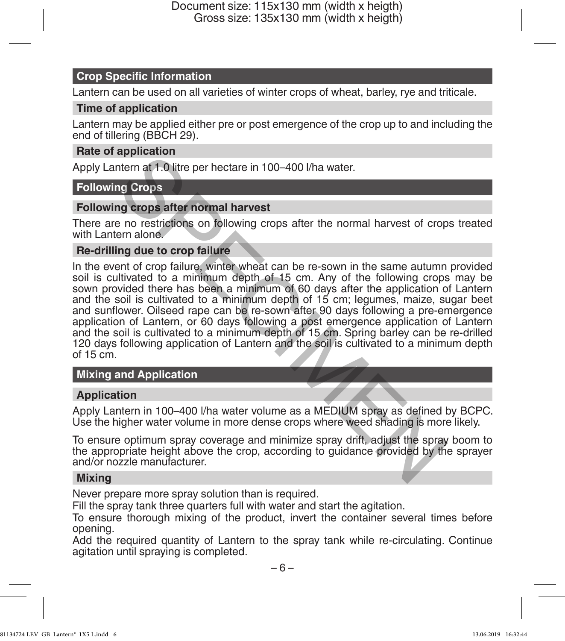### **Crop Specific Information**

Lantern can be used on all varieties of winter crops of wheat, barley, rye and triticale.

### **Time of application**

Lantern may be applied either pre or post emergence of the crop up to and including the end of tillering (BBCH 29).

### **Rate of application**

Apply Lantern at 1.0 litre per hectare in 100–400 l/ha water.

### **Following Crops**

### **Following crops after normal harvest**

There are no restrictions on following crops after the normal harvest of crops treated with Lantern alone.

### **Re-drilling due to crop failure**

In the event of crop failure, winter wheat can be re-sown in the same autumn provided soil is cultivated to a minimum depth of 15 cm. Any of the following crops may be sown provided there has been a minimum of 60 days after the application of Lantern and the soil is cultivated to a minimum depth of 15 cm; legumes, maize, sugar beet and sunflower. Oilseed rape can be re-sown after 90 days following a pre-emergence application of Lantern, or 60 days following a post emergence application of Lantern and the soil is cultivated to a minimum depth of 15 cm. Spring barley can be re-drilled 120 days following application of Lantern and the soil is cultivated to a minimum depth of 15 cm. application<br>thern at 1.0 litre per hectare in 100–400 l/ha water.<br>Ing Crops<br>on eastrictions on following crops after the normal harvest of crop<br>ern alone.<br>In g due to crop failure, winter wheat can be re-sown in the same a

### **Mixing and Application**

### **Application**

Apply Lantern in 100–400 l/ha water volume as a MEDIUM spray as defined by BCPC. Use the higher water volume in more dense crops where weed shading is more likely.

To ensure optimum spray coverage and minimize spray drift, adjust the spray boom to the appropriate height above the crop, according to guidance provided by the sprayer and/or nozzle manufacturer.

### **Mixing**

Never prepare more spray solution than is required.

Fill the spray tank three quarters full with water and start the agitation.

To ensure thorough mixing of the product, invert the container several times before opening.

Add the required quantity of Lantern to the spray tank while re-circulating. Continue agitation until spraying is completed.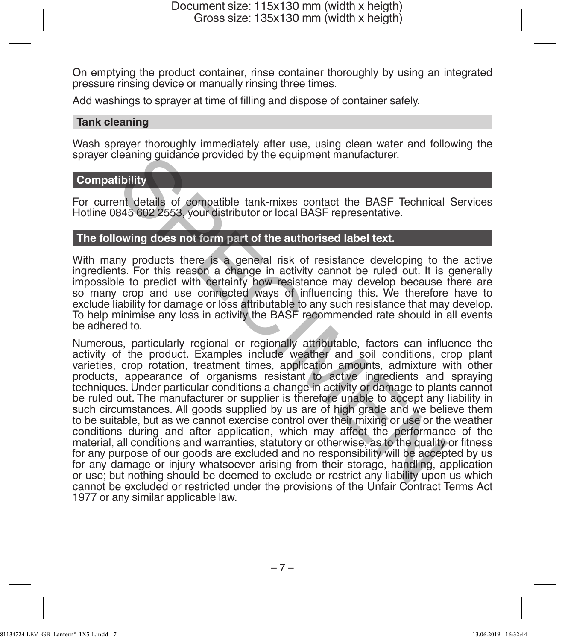On emptying the product container, rinse container thoroughly by using an integrated pressure rinsing device or manually rinsing three times.

Add washings to sprayer at time of filling and dispose of container safely.

### **Tank cleaning**

Wash sprayer thoroughly immediately after use, using clean water and following the sprayer cleaning guidance provided by the equipment manufacturer.

### **Compatibility**

For current details of compatible tank-mixes contact the BASF Technical Services Hotline 0845 602 2553, your distributor or local BASF representative.

### **The following does not form part of the authorised label text.**

With many products there is a general risk of resistance developing to the active ingredients. For this reason a change in activity cannot be ruled out. It is generally impossible to predict with certainty how resistance may develop because there are so many crop and use connected ways of influencing this. We therefore have to exclude liability for damage or loss attributable to any such resistance that may develop. To help minimise any loss in activity the BASF recommended rate should in all events be adhered to.

Numerous, particularly regional or regionally attributable, factors can influence the activity of the product. Examples include weather and soil conditions, crop plant varieties, crop rotation, treatment times, application amounts, admixture with other products, appearance of organisms resistant to active ingredients and spraying techniques. Under particular conditions a change in activity or damage to plants cannot be ruled out. The manufacturer or supplier is therefore unable to accept any liability in such circumstances. All goods supplied by us are of high grade and we believe them to be suitable, but as we cannot exercise control over their mixing or use or the weather conditions during and after application, which may affect the performance of the material, all conditions and warranties, statutory or otherwise, as to the quality or fitness for any purpose of our goods are excluded and no responsibility will be accepted by us for any damage or injury whatsoever arising from their storage, handling, application or use; but nothing should be deemed to exclude or restrict any liability upon us which cannot be excluded or restricted under the provisions of the Unfair Contract Terms Act 1977 or any similar applicable law. Heaning guidance provided by the equipment manutacturer.<br>
Tibility<br>
Int details of compatible tank-mixes contact the BASF Technical<br>
845 602 2553, your distributor or local BASF representative.<br>
owing does not form part of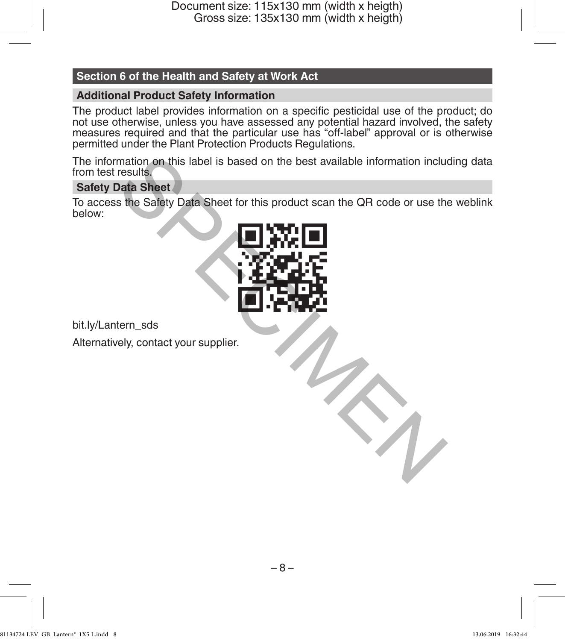### **Section 6 of the Health and Safety at Work Act**

### **Additional Product Safety Information**

The product label provides information on a specific pesticidal use of the product; do not use otherwise, unless you have assessed any potential hazard involved, the safety measures required and that the particular use has "off-label" approval or is otherwise permitted under the Plant Protection Products Regulations.

The information on this label is based on the best available information including data from test results.

### **Safety Data Sheet**

To access the Safety Data Sheet for this product scan the QR code or use the weblink below:



bit.ly/Lantern\_sds

Alternatively, contact your supplier.